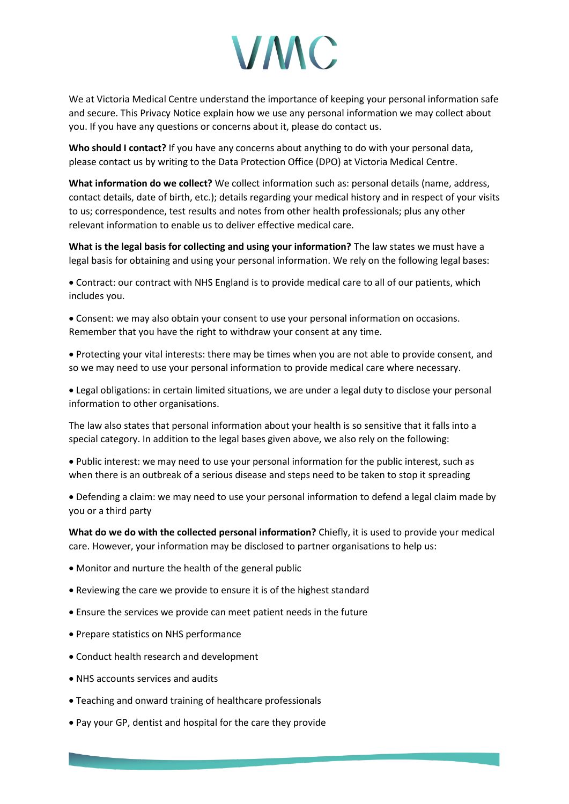## **VMC**

We at Victoria Medical Centre understand the importance of keeping your personal information safe and secure. This Privacy Notice explain how we use any personal information we may collect about you. If you have any questions or concerns about it, please do contact us.

**Who should I contact?** If you have any concerns about anything to do with your personal data, please contact us by writing to the Data Protection Office (DPO) at Victoria Medical Centre.

**What information do we collect?** We collect information such as: personal details (name, address, contact details, date of birth, etc.); details regarding your medical history and in respect of your visits to us; correspondence, test results and notes from other health professionals; plus any other relevant information to enable us to deliver effective medical care.

**What is the legal basis for collecting and using your information?** The law states we must have a legal basis for obtaining and using your personal information. We rely on the following legal bases:

 Contract: our contract with NHS England is to provide medical care to all of our patients, which includes you.

 Consent: we may also obtain your consent to use your personal information on occasions. Remember that you have the right to withdraw your consent at any time.

 Protecting your vital interests: there may be times when you are not able to provide consent, and so we may need to use your personal information to provide medical care where necessary.

 Legal obligations: in certain limited situations, we are under a legal duty to disclose your personal information to other organisations.

The law also states that personal information about your health is so sensitive that it falls into a special category. In addition to the legal bases given above, we also rely on the following:

 Public interest: we may need to use your personal information for the public interest, such as when there is an outbreak of a serious disease and steps need to be taken to stop it spreading

 Defending a claim: we may need to use your personal information to defend a legal claim made by you or a third party

**What do we do with the collected personal information?** Chiefly, it is used to provide your medical care. However, your information may be disclosed to partner organisations to help us:

- Monitor and nurture the health of the general public
- Reviewing the care we provide to ensure it is of the highest standard
- Ensure the services we provide can meet patient needs in the future
- Prepare statistics on NHS performance
- Conduct health research and development
- NHS accounts services and audits
- Teaching and onward training of healthcare professionals
- Pay your GP, dentist and hospital for the care they provide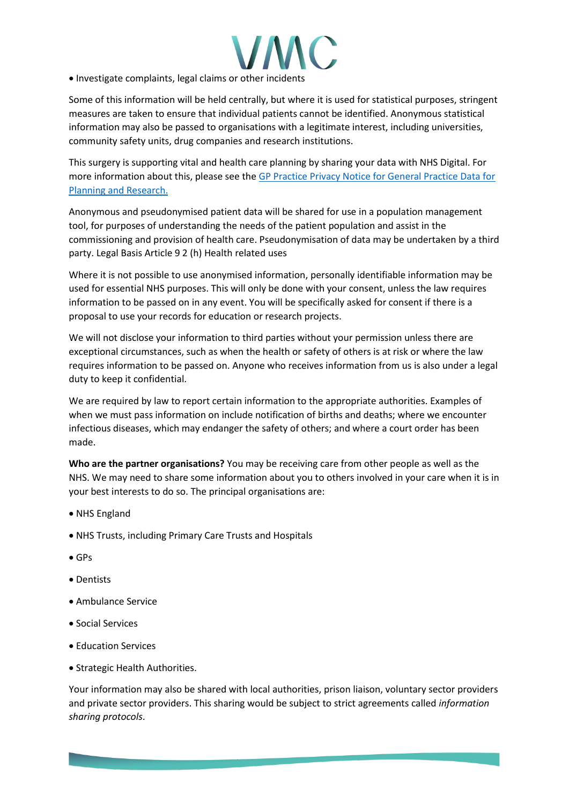

• Investigate complaints, legal claims or other incidents

Some of this information will be held centrally, but where it is used for statistical purposes, stringent measures are taken to ensure that individual patients cannot be identified. Anonymous statistical information may also be passed to organisations with a legitimate interest, including universities, community safety units, drug companies and research institutions.

This surgery is supporting vital and health care planning by sharing your data with NHS Digital. For more information about this, please see the [GP Practice Privacy Notice for General Practice Data for](https://digital.nhs.uk/data-and-information/data-collections-and-data-sets/data-collections/general-practice-data-for-planning-and-research/gp-privacy-notice)  [Planning and Research.](https://digital.nhs.uk/data-and-information/data-collections-and-data-sets/data-collections/general-practice-data-for-planning-and-research/gp-privacy-notice)

Anonymous and pseudonymised patient data will be shared for use in a population management tool, for purposes of understanding the needs of the patient population and assist in the commissioning and provision of health care. Pseudonymisation of data may be undertaken by a third party. Legal Basis Article 9 2 (h) Health related uses

Where it is not possible to use anonymised information, personally identifiable information may be used for essential NHS purposes. This will only be done with your consent, unless the law requires information to be passed on in any event. You will be specifically asked for consent if there is a proposal to use your records for education or research projects.

We will not disclose your information to third parties without your permission unless there are exceptional circumstances, such as when the health or safety of others is at risk or where the law requires information to be passed on. Anyone who receives information from us is also under a legal duty to keep it confidential.

We are required by law to report certain information to the appropriate authorities. Examples of when we must pass information on include notification of births and deaths; where we encounter infectious diseases, which may endanger the safety of others; and where a court order has been made.

**Who are the partner organisations?** You may be receiving care from other people as well as the NHS. We may need to share some information about you to others involved in your care when it is in your best interests to do so. The principal organisations are:

- NHS England
- NHS Trusts, including Primary Care Trusts and Hospitals
- GPs
- Dentists
- Ambulance Service
- Social Services
- Education Services
- Strategic Health Authorities.

Your information may also be shared with local authorities, prison liaison, voluntary sector providers and private sector providers. This sharing would be subject to strict agreements called *information sharing protocols*.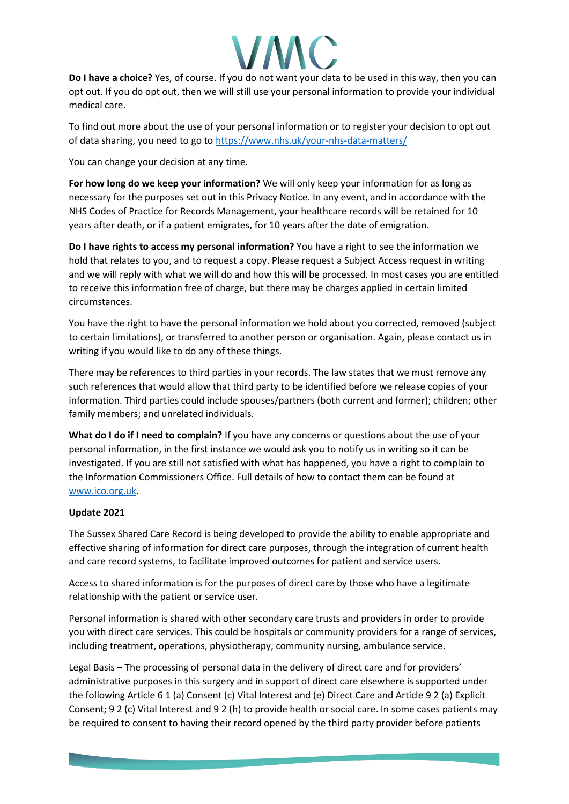

**Do I have a choice?** Yes, of course. If you do not want your data to be used in this way, then you can opt out. If you do opt out, then we will still use your personal information to provide your individual medical care.

To find out more about the use of your personal information or to register your decision to opt out of data sharing, you need to go t[o https://www.nhs.uk/your-nhs-data-matters/](https://www.nhs.uk/your-nhs-data-matters/)

You can change your decision at any time.

**For how long do we keep your information?** We will only keep your information for as long as necessary for the purposes set out in this Privacy Notice. In any event, and in accordance with the NHS Codes of Practice for Records Management, your healthcare records will be retained for 10 years after death, or if a patient emigrates, for 10 years after the date of emigration.

**Do I have rights to access my personal information?** You have a right to see the information we hold that relates to you, and to request a copy. Please request a Subject Access request in writing and we will reply with what we will do and how this will be processed. In most cases you are entitled to receive this information free of charge, but there may be charges applied in certain limited circumstances.

You have the right to have the personal information we hold about you corrected, removed (subject to certain limitations), or transferred to another person or organisation. Again, please contact us in writing if you would like to do any of these things.

There may be references to third parties in your records. The law states that we must remove any such references that would allow that third party to be identified before we release copies of your information. Third parties could include spouses/partners (both current and former); children; other family members; and unrelated individuals.

**What do I do if I need to complain?** If you have any concerns or questions about the use of your personal information, in the first instance we would ask you to notify us in writing so it can be investigated. If you are still not satisfied with what has happened, you have a right to complain to the Information Commissioners Office. Full details of how to contact them can be found at [www.ico.org.uk.](http://www.ico.org.uk/)

## **Update 2021**

The Sussex Shared Care Record is being developed to provide the ability to enable appropriate and effective sharing of information for direct care purposes, through the integration of current health and care record systems, to facilitate improved outcomes for patient and service users.

Access to shared information is for the purposes of direct care by those who have a legitimate relationship with the patient or service user.

Personal information is shared with other secondary care trusts and providers in order to provide you with direct care services. This could be hospitals or community providers for a range of services, including treatment, operations, physiotherapy, community nursing, ambulance service.

Legal Basis – The processing of personal data in the delivery of direct care and for providers' administrative purposes in this surgery and in support of direct care elsewhere is supported under the following Article 6 1 (a) Consent (c) Vital Interest and (e) Direct Care and Article 9 2 (a) Explicit Consent; 9 2 (c) Vital Interest and 9 2 (h) to provide health or social care. In some cases patients may be required to consent to having their record opened by the third party provider before patients